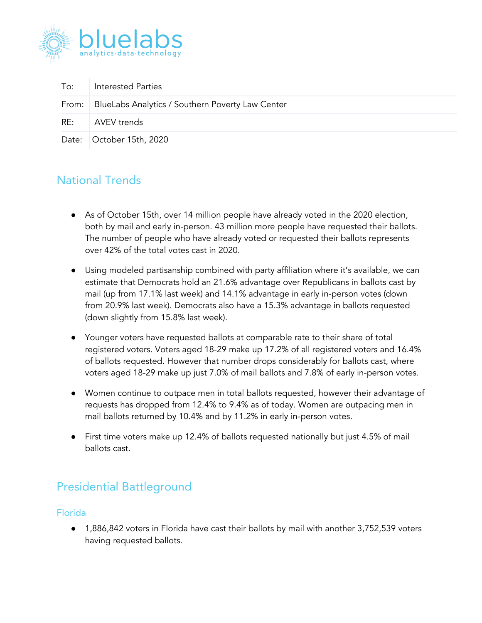

| To: | <b>Interested Parties</b>                                |
|-----|----------------------------------------------------------|
|     | From:   BlueLabs Analytics / Southern Poverty Law Center |
|     | RE: AVEV trends                                          |
|     | Date: October 15th, 2020                                 |

## National Trends

- As of October 15th, over 14 million people have already voted in the 2020 election, both by mail and early in-person. 43 million more people have requested their ballots. The number of people who have already voted or requested their ballots represents over 42% of the total votes cast in 2020.
- Using modeled partisanship combined with party affiliation where it's available, we can estimate that Democrats hold an 21.6% advantage over Republicans in ballots cast by mail (up from 17.1% last week) and 14.1% advantage in early in-person votes (down from 20.9% last week). Democrats also have a 15.3% advantage in ballots requested (down slightly from 15.8% last week).
- Younger voters have requested ballots at comparable rate to their share of total registered voters. Voters aged 18-29 make up 17.2% of all registered voters and 16.4% of ballots requested. However that number drops considerably for ballots cast, where voters aged 18-29 make up just 7.0% of mail ballots and 7.8% of early in-person votes.
- Women continue to outpace men in total ballots requested, however their advantage of requests has dropped from 12.4% to 9.4% as of today. Women are outpacing men in mail ballots returned by 10.4% and by 11.2% in early in-person votes.
- First time voters make up 12.4% of ballots requested nationally but just 4.5% of mail ballots cast.

# Presidential Battleground

### Florida

● 1,886,842 voters in Florida have cast their ballots by mail with another 3,752,539 voters having requested ballots.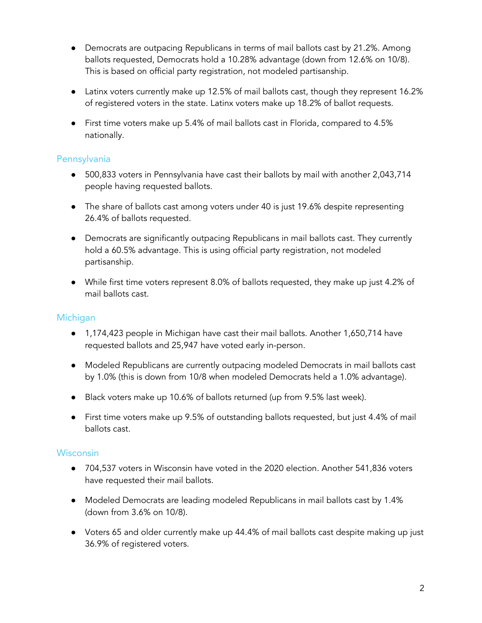- Democrats are outpacing Republicans in terms of mail ballots cast by 21.2%. Among ballots requested, Democrats hold a 10.28% advantage (down from 12.6% on 10/8). This is based on official party registration, not modeled partisanship.
- Latinx voters currently make up 12.5% of mail ballots cast, though they represent 16.2% of registered voters in the state. Latinx voters make up 18.2% of ballot requests.
- First time voters make up 5.4% of mail ballots cast in Florida, compared to 4.5% nationally.

### Pennsylvania

- 500,833 voters in Pennsylvania have cast their ballots by mail with another 2,043,714 people having requested ballots.
- The share of ballots cast among voters under 40 is just 19.6% despite representing 26.4% of ballots requested.
- Democrats are significantly outpacing Republicans in mail ballots cast. They currently hold a 60.5% advantage. This is using official party registration, not modeled partisanship.
- While first time voters represent 8.0% of ballots requested, they make up just 4.2% of mail ballots cast.

### Michigan

- 1,174,423 people in Michigan have cast their mail ballots. Another 1,650,714 have requested ballots and 25,947 have voted early in-person.
- Modeled Republicans are currently outpacing modeled Democrats in mail ballots cast by 1.0% (this is down from 10/8 when modeled Democrats held a 1.0% advantage).
- Black voters make up 10.6% of ballots returned (up from 9.5% last week).
- First time voters make up 9.5% of outstanding ballots requested, but just 4.4% of mail ballots cast.

### **Wisconsin**

- 704,537 voters in Wisconsin have voted in the 2020 election. Another 541,836 voters have requested their mail ballots.
- Modeled Democrats are leading modeled Republicans in mail ballots cast by 1.4% (down from 3.6% on 10/8).
- Voters 65 and older currently make up 44.4% of mail ballots cast despite making up just 36.9% of registered voters.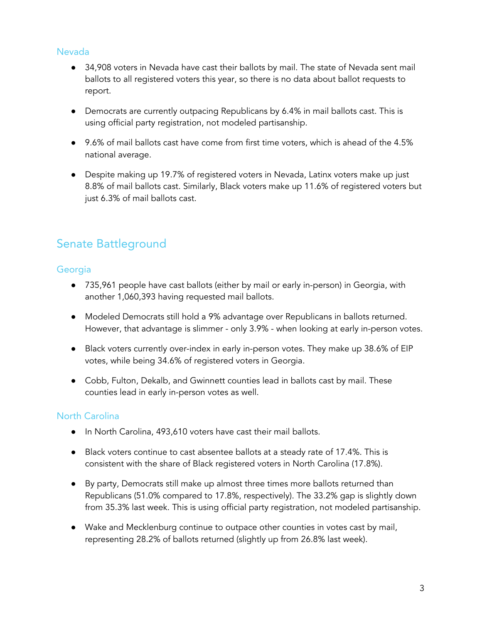#### Nevada

- 34,908 voters in Nevada have cast their ballots by mail. The state of Nevada sent mail ballots to all registered voters this year, so there is no data about ballot requests to report.
- Democrats are currently outpacing Republicans by 6.4% in mail ballots cast. This is using official party registration, not modeled partisanship.
- 9.6% of mail ballots cast have come from first time voters, which is ahead of the 4.5% national average.
- Despite making up 19.7% of registered voters in Nevada, Latinx voters make up just 8.8% of mail ballots cast. Similarly, Black voters make up 11.6% of registered voters but just 6.3% of mail ballots cast.

# Senate Battleground

#### **Georgia**

- 735,961 people have cast ballots (either by mail or early in-person) in Georgia, with another 1,060,393 having requested mail ballots.
- Modeled Democrats still hold a 9% advantage over Republicans in ballots returned. However, that advantage is slimmer - only 3.9% - when looking at early in-person votes.
- Black voters currently over-index in early in-person votes. They make up 38.6% of EIP votes, while being 34.6% of registered voters in Georgia.
- Cobb, Fulton, Dekalb, and Gwinnett counties lead in ballots cast by mail. These counties lead in early in-person votes as well.

### North Carolina

- In North Carolina, 493,610 voters have cast their mail ballots.
- Black voters continue to cast absentee ballots at a steady rate of 17.4%. This is consistent with the share of Black registered voters in North Carolina (17.8%).
- By party, Democrats still make up almost three times more ballots returned than Republicans (51.0% compared to 17.8%, respectively). The 33.2% gap is slightly down from 35.3% last week. This is using official party registration, not modeled partisanship.
- Wake and Mecklenburg continue to outpace other counties in votes cast by mail, representing 28.2% of ballots returned (slightly up from 26.8% last week).